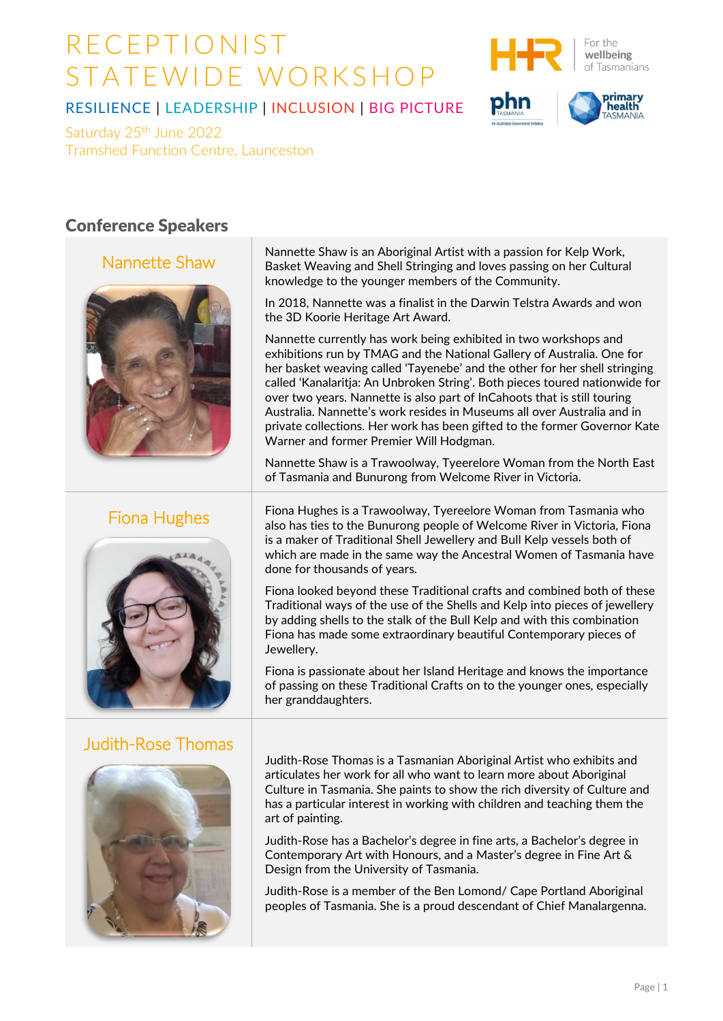

primarv health

#### RESILIENCE | LEADERSHIP | INCLUSION | BIG PICTURE

Saturday 25<sup>th</sup> June 2022 Tramshed Function Centre, Launceston

#### Conference Speakers

#### Nannette Shaw



### Fiona Hughes



### Judith-Rose Thomas



Nannette Shaw is an Aboriginal Artist with a passion for Kelp Work, Basket Weaving and Shell Stringing and loves passing on her Cultural knowledge to the younger members of the Community.

In 2018, Nannette was a finalist in the Darwin Telstra Awards and won the 3D Koorie Heritage Art Award.

Nannette currently has work being exhibited in two workshops and exhibitions run by TMAG and the National Gallery of Australia. One for her basket weaving called 'Tayenebe' and the other for her shell stringing called 'Kanalaritja: An Unbroken String'. Both pieces toured nationwide for over two years. Nannette is also part of InCahoots that is still touring Australia. Nannette's work resides in Museums all over Australia and in private collections. Her work has been gifted to the former Governor Kate Warner and former Premier Will Hodgman.

Nannette Shaw is a Trawoolway, Tyeerelore Woman from the North East of Tasmania and Bunurong from Welcome River in Victoria.

Fiona Hughes is a Trawoolway, Tyereelore Woman from Tasmania who also has ties to the Bunurong people of Welcome River in Victoria, Fiona is a maker of Traditional Shell Jewellery and Bull Kelp vessels both of which are made in the same way the Ancestral Women of Tasmania have done for thousands of years.

Fiona looked beyond these Traditional crafts and combined both of these Traditional ways of the use of the Shells and Kelp into pieces of jewellery by adding shells to the stalk of the Bull Kelp and with this combination Fiona has made some extraordinary beautiful Contemporary pieces of Jewellery.

Fiona is passionate about her Island Heritage and knows the importance of passing on these Traditional Crafts on to the younger ones, especially her granddaughters.

Judith-Rose Thomas is a Tasmanian Aboriginal Artist who exhibits and articulates her work for all who want to learn more about Aboriginal Culture in Tasmania. She paints to show the rich diversity of Culture and has a particular interest in working with children and teaching them the art of painting.

Judith-Rose has a Bachelor's degree in fine arts, a Bachelor's degree in Contemporary Art with Honours, and a Master's degree in Fine Art & Design from the University of Tasmania.

Judith-Rose is a member of the Ben Lomond/ Cape Portland Aboriginal peoples of Tasmania. She is a proud descendant of Chief Manalargenna.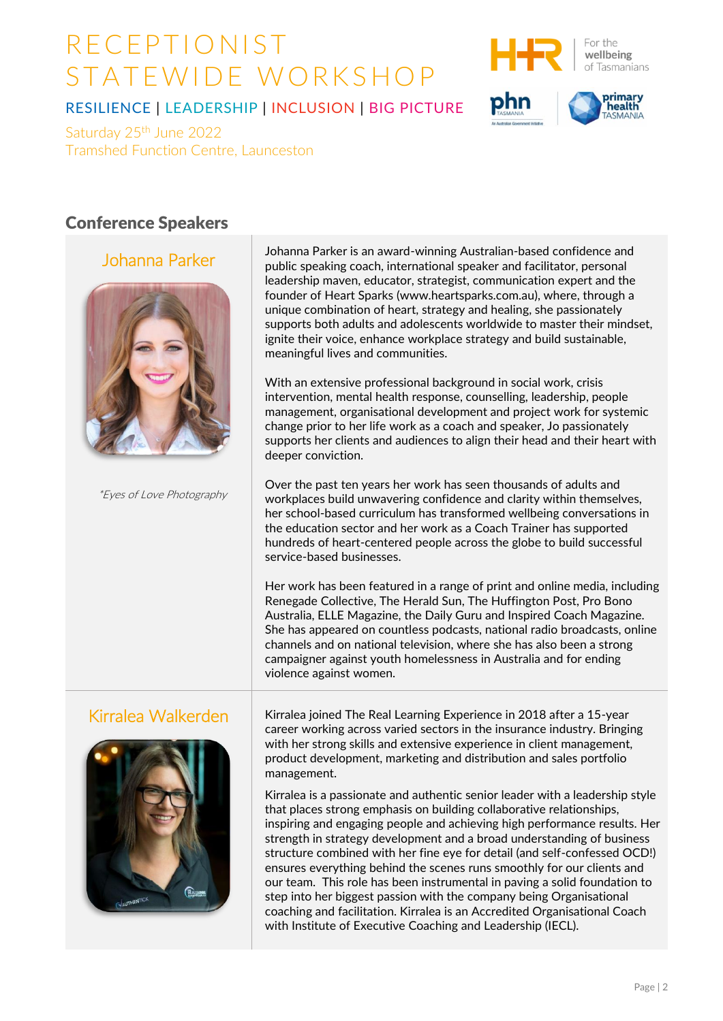

primary health

#### RESILIENCE | LEADERSHIP | INCLUSION | BIG PICTURE

Saturday 25<sup>th</sup> June 2022 Tramshed Function Centre, Launceston

#### Conference Speakers

Johanna Parker



\*Eyes of Love Photography

Johanna Parker is an award-winning Australian-based confidence and public speaking coach, international speaker and facilitator, personal leadership maven, educator, strategist, communication expert and the founder of Heart Sparks [\(www.heartsparks.com.au\),](http://www.heartsparks.com.au/) where, through a unique combination of heart, strategy and healing, she passionately supports both adults and adolescents worldwide to master their mindset, ignite their voice, enhance workplace strategy and build sustainable, meaningful lives and communities.

With an extensive professional background in social work, crisis intervention, mental health response, counselling, leadership, people management, organisational development and project work for systemic change prior to her life work as a coach and speaker, Jo passionately supports her clients and audiences to align their head and their heart with deeper conviction.

Over the past ten years her work has seen thousands of adults and workplaces build unwavering confidence and clarity within themselves, her school-based curriculum has transformed wellbeing conversations in the education sector and her work as a Coach Trainer has supported hundreds of heart-centered people across the globe to build successful service-based businesses.

Her work has been featured in a range of print and online media, including Renegade Collective, The Herald Sun, The Huffington Post, Pro Bono Australia, ELLE Magazine, the Daily Guru and Inspired Coach Magazine. She has appeared on countless podcasts, national radio broadcasts, online channels and on national television, where she has also been a strong campaigner against youth homelessness in Australia and for ending violence against women.



Kirralea Walkerden | Kirralea joined The Real Learning Experience in 2018 after a 15-year career working across varied sectors in the insurance industry. Bringing with her strong skills and extensive experience in client management, product development, marketing and distribution and sales portfolio management.

> Kirralea is a passionate and authentic senior leader with a leadership style that places strong emphasis on building collaborative relationships, inspiring and engaging people and achieving high performance results. Her strength in strategy development and a broad understanding of business structure combined with her fine eye for detail (and self-confessed OCD!) ensures everything behind the scenes runs smoothly for our clients and our team. This role has been instrumental in paving a solid foundation to step into her biggest passion with the company being Organisational coaching and facilitation. Kirralea is an Accredited Organisational Coach with Institute of Executive Coaching and Leadership (IECL).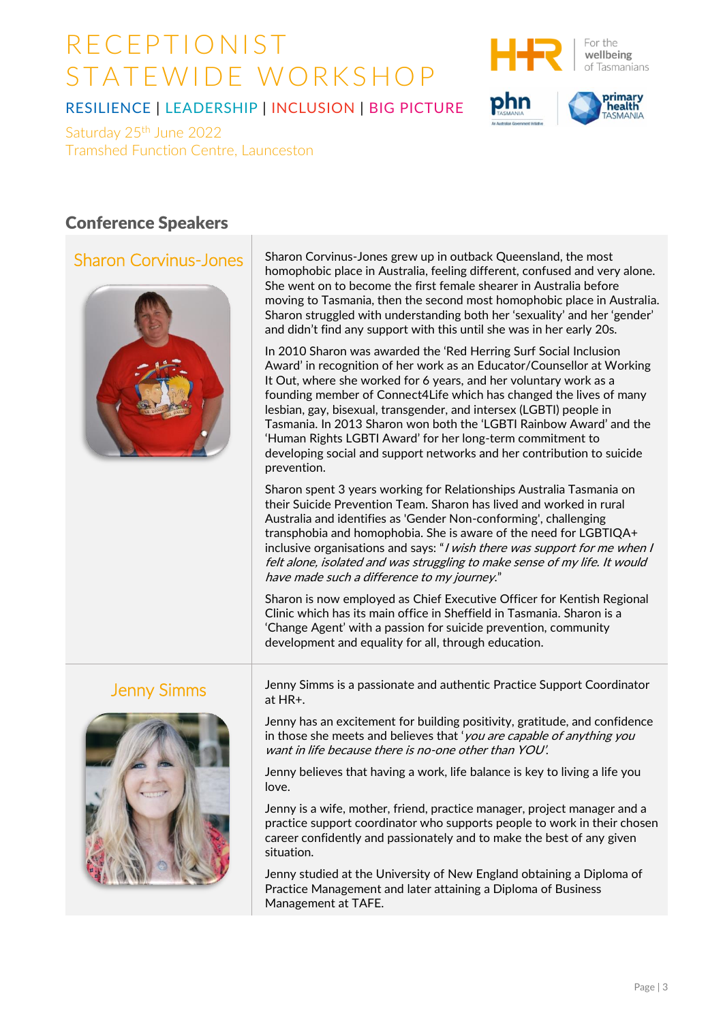

primary<br>health

### RESILIENCE | LEADERSHIP | INCLUSION | BIG PICTURE

Saturday 25<sup>th</sup> June 2022 Tramshed Function Centre, Launceston

#### Conference Speakers

### Sharon Corvinus-Jones



Sharon Corvinus-Jones grew up in outback Queensland, the most homophobic place in Australia, feeling different, confused and very alone. She went on to become the first female shearer in Australia before moving to Tasmania, then the second most homophobic place in Australia. Sharon struggled with understanding both her 'sexuality' and her 'gender' and didn't find any support with this until she was in her early 20s.

In 2010 Sharon was awarded the 'Red Herring Surf Social Inclusion Award' in recognition of her work as an Educator/Counsellor at Working It Out, where she worked for 6 years, and her voluntary work as a founding member of Connect4Life which has changed the lives of many lesbian, gay, bisexual, transgender, and intersex (LGBTI) people in Tasmania. In 2013 Sharon won both the 'LGBTI Rainbow Award' and the 'Human Rights LGBTI Award' for her long-term commitment to developing social and support networks and her contribution to suicide prevention.

Sharon spent 3 years working for Relationships Australia Tasmania on their Suicide Prevention Team. Sharon has lived and worked in rural Australia and identifies as 'Gender Non-conforming', challenging transphobia and homophobia. She is aware of the need for LGBTIQA+ inclusive organisations and says: "*I wish there was support for me when I* felt alone, isolated and was struggling to make sense of my life. It would have made such a difference to my journey."

Sharon is now employed as Chief Executive Officer for Kentish Regional Clinic which has its main office in Sheffield in Tasmania. Sharon is a 'Change Agent' with a passion for suicide prevention, community development and equality for all, through education.



Jenny Simms Jenny Simms is a passionate and authentic Practice Support Coordinator at HR+.

> Jenny has an excitement for building positivity, gratitude, and confidence in those she meets and believes that 'you are capable of anything you want in life because there is no-one other than YOU'.

Jenny believes that having a work, life balance is key to living a life you love.

Jenny is a wife, mother, friend, practice manager, project manager and a practice support coordinator who supports people to work in their chosen career confidently and passionately and to make the best of any given situation.

Jenny studied at the University of New England obtaining a Diploma of Practice Management and later attaining a Diploma of Business Management at TAFE.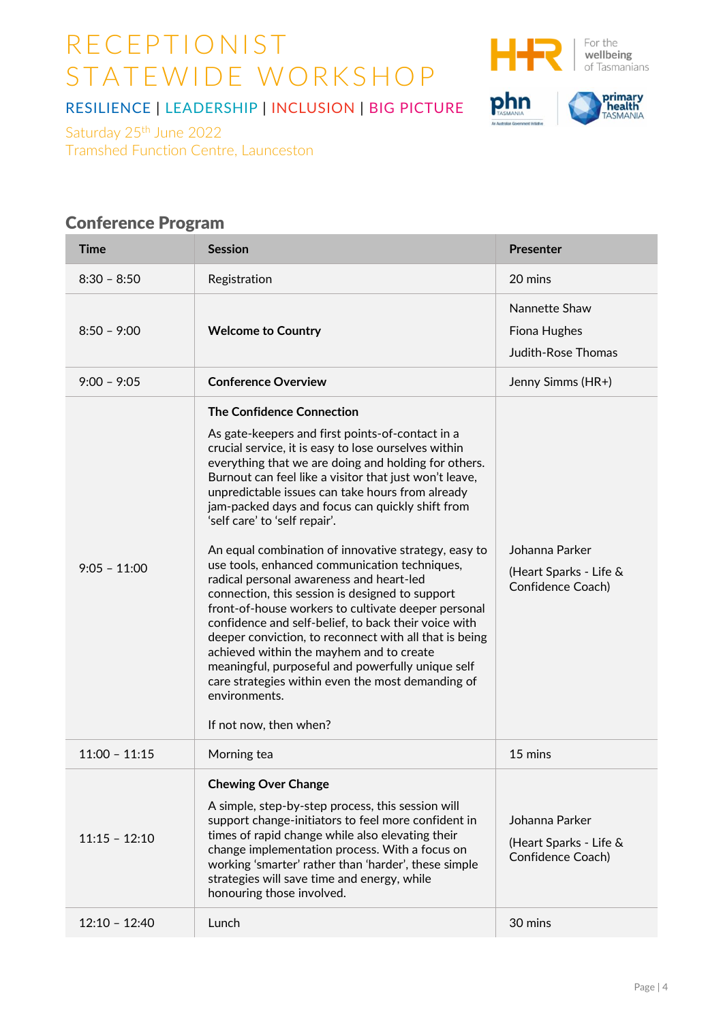

phn

**primary<br>TASMANIA** 

### RESILIENCE | LEADERSHIP | INCLUSION | BIG PICTURE

Saturday 25<sup>th</sup> June 2022 Tramshed Function Centre, Launceston

## Conference Program

| $8:30 - 8:50$<br>20 mins<br>Registration<br>Nannette Shaw<br>$8:50 - 9:00$<br><b>Welcome to Country</b><br>Fiona Hughes<br><b>Judith-Rose Thomas</b><br><b>Conference Overview</b><br>$9:00 - 9:05$<br>Jenny Simms (HR+)<br><b>The Confidence Connection</b><br>As gate-keepers and first points-of-contact in a<br>crucial service, it is easy to lose ourselves within<br>everything that we are doing and holding for others.<br>Burnout can feel like a visitor that just won't leave,<br>unpredictable issues can take hours from already<br>jam-packed days and focus can quickly shift from<br>'self care' to 'self repair'.<br>Johanna Parker<br>An equal combination of innovative strategy, easy to<br>use tools, enhanced communication techniques,<br>$9:05 - 11:00$<br>radical personal awareness and heart-led<br>Confidence Coach)<br>connection, this session is designed to support<br>front-of-house workers to cultivate deeper personal<br>confidence and self-belief, to back their voice with<br>deeper conviction, to reconnect with all that is being | Time | <b>Presenter</b>       |
|-------------------------------------------------------------------------------------------------------------------------------------------------------------------------------------------------------------------------------------------------------------------------------------------------------------------------------------------------------------------------------------------------------------------------------------------------------------------------------------------------------------------------------------------------------------------------------------------------------------------------------------------------------------------------------------------------------------------------------------------------------------------------------------------------------------------------------------------------------------------------------------------------------------------------------------------------------------------------------------------------------------------------------------------------------------------------------|------|------------------------|
|                                                                                                                                                                                                                                                                                                                                                                                                                                                                                                                                                                                                                                                                                                                                                                                                                                                                                                                                                                                                                                                                               |      |                        |
|                                                                                                                                                                                                                                                                                                                                                                                                                                                                                                                                                                                                                                                                                                                                                                                                                                                                                                                                                                                                                                                                               |      |                        |
|                                                                                                                                                                                                                                                                                                                                                                                                                                                                                                                                                                                                                                                                                                                                                                                                                                                                                                                                                                                                                                                                               |      |                        |
| achieved within the mayhem and to create<br>meaningful, purposeful and powerfully unique self<br>care strategies within even the most demanding of<br>environments.<br>If not now, then when?                                                                                                                                                                                                                                                                                                                                                                                                                                                                                                                                                                                                                                                                                                                                                                                                                                                                                 |      | (Heart Sparks - Life & |
| $11:00 - 11:15$<br>15 mins<br>Morning tea                                                                                                                                                                                                                                                                                                                                                                                                                                                                                                                                                                                                                                                                                                                                                                                                                                                                                                                                                                                                                                     |      |                        |
| <b>Chewing Over Change</b><br>A simple, step-by-step process, this session will<br>support change-initiators to feel more confident in<br>Johanna Parker<br>times of rapid change while also elevating their<br>$11:15 - 12:10$<br>change implementation process. With a focus on<br>Confidence Coach)<br>working 'smarter' rather than 'harder', these simple<br>strategies will save time and energy, while<br>honouring those involved.<br>$12:10 - 12:40$<br>30 mins<br>Lunch                                                                                                                                                                                                                                                                                                                                                                                                                                                                                                                                                                                             |      | (Heart Sparks - Life & |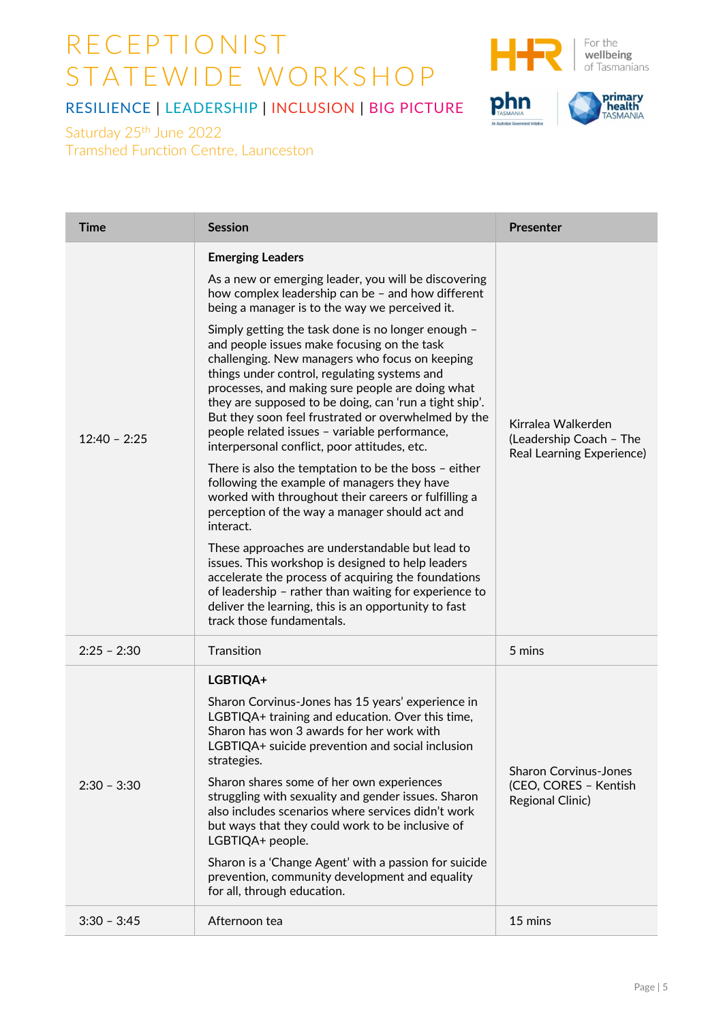

phn

**primary**<br>TASMANIA

### RESILIENCE | LEADERSHIP | INCLUSION | BIG PICTURE

Saturday 25<sup>th</sup> June 2022 Tramshed Function Centre, Launceston

| <b>Time</b>    | <b>Session</b>                                                                                                                                                                                                                                                                                                                                                                                                                                                                                                                    | <b>Presenter</b>                                                                 |
|----------------|-----------------------------------------------------------------------------------------------------------------------------------------------------------------------------------------------------------------------------------------------------------------------------------------------------------------------------------------------------------------------------------------------------------------------------------------------------------------------------------------------------------------------------------|----------------------------------------------------------------------------------|
| $12:40 - 2:25$ | <b>Emerging Leaders</b><br>As a new or emerging leader, you will be discovering<br>how complex leadership can be - and how different<br>being a manager is to the way we perceived it.                                                                                                                                                                                                                                                                                                                                            | Kirralea Walkerden<br>(Leadership Coach - The<br>Real Learning Experience)       |
|                | Simply getting the task done is no longer enough -<br>and people issues make focusing on the task<br>challenging. New managers who focus on keeping<br>things under control, regulating systems and<br>processes, and making sure people are doing what<br>they are supposed to be doing, can 'run a tight ship'.<br>But they soon feel frustrated or overwhelmed by the<br>people related issues - variable performance,<br>interpersonal conflict, poor attitudes, etc.<br>There is also the temptation to be the boss - either |                                                                                  |
|                | following the example of managers they have<br>worked with throughout their careers or fulfilling a<br>perception of the way a manager should act and<br>interact.                                                                                                                                                                                                                                                                                                                                                                |                                                                                  |
|                | These approaches are understandable but lead to<br>issues. This workshop is designed to help leaders<br>accelerate the process of acquiring the foundations<br>of leadership - rather than waiting for experience to<br>deliver the learning, this is an opportunity to fast<br>track those fundamentals.                                                                                                                                                                                                                         |                                                                                  |
| $2:25 - 2:30$  | Transition                                                                                                                                                                                                                                                                                                                                                                                                                                                                                                                        | 5 mins                                                                           |
| $2:30 - 3:30$  | LGBTIQA+                                                                                                                                                                                                                                                                                                                                                                                                                                                                                                                          |                                                                                  |
|                | Sharon Corvinus-Jones has 15 years' experience in<br>LGBTIQA+ training and education. Over this time,<br>Sharon has won 3 awards for her work with<br>LGBTIQA+ suicide prevention and social inclusion<br>strategies.                                                                                                                                                                                                                                                                                                             | <b>Sharon Corvinus-Jones</b><br>(CEO, CORES - Kentish<br><b>Regional Clinic)</b> |
|                | Sharon shares some of her own experiences<br>struggling with sexuality and gender issues. Sharon<br>also includes scenarios where services didn't work<br>but ways that they could work to be inclusive of<br>LGBTIQA+ people.                                                                                                                                                                                                                                                                                                    |                                                                                  |
|                | Sharon is a 'Change Agent' with a passion for suicide<br>prevention, community development and equality<br>for all, through education.                                                                                                                                                                                                                                                                                                                                                                                            |                                                                                  |
| $3:30 - 3:45$  | Afternoon tea                                                                                                                                                                                                                                                                                                                                                                                                                                                                                                                     | 15 mins                                                                          |